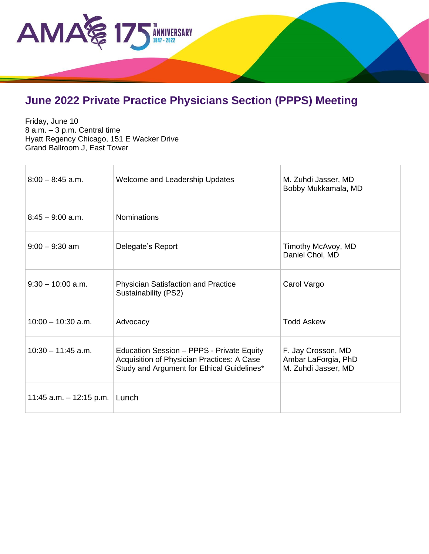

## **June 2022 Private Practice Physicians Section (PPPS) Meeting**

Friday, June 10 8 a.m. – 3 p.m. Central time Hyatt Regency Chicago, 151 E Wacker Drive Grand Ballroom J, East Tower

| $8:00 - 8:45$ a.m.        | Welcome and Leadership Updates                                                                                                        | M. Zuhdi Jasser, MD<br>Bobby Mukkamala, MD                       |
|---------------------------|---------------------------------------------------------------------------------------------------------------------------------------|------------------------------------------------------------------|
| $8:45 - 9:00$ a.m.        | <b>Nominations</b>                                                                                                                    |                                                                  |
| $9:00 - 9:30$ am          | Delegate's Report                                                                                                                     | Timothy McAvoy, MD<br>Daniel Choi, MD                            |
| $9:30 - 10:00$ a.m.       | <b>Physician Satisfaction and Practice</b><br>Sustainability (PS2)                                                                    | Carol Vargo                                                      |
| $10:00 - 10:30$ a.m.      | Advocacy                                                                                                                              | <b>Todd Askew</b>                                                |
| $10:30 - 11:45$ a.m.      | Education Session - PPPS - Private Equity<br>Acquisition of Physician Practices: A Case<br>Study and Argument for Ethical Guidelines* | F. Jay Crosson, MD<br>Ambar LaForgia, PhD<br>M. Zuhdi Jasser, MD |
| 11:45 a.m. $-$ 12:15 p.m. | Lunch                                                                                                                                 |                                                                  |